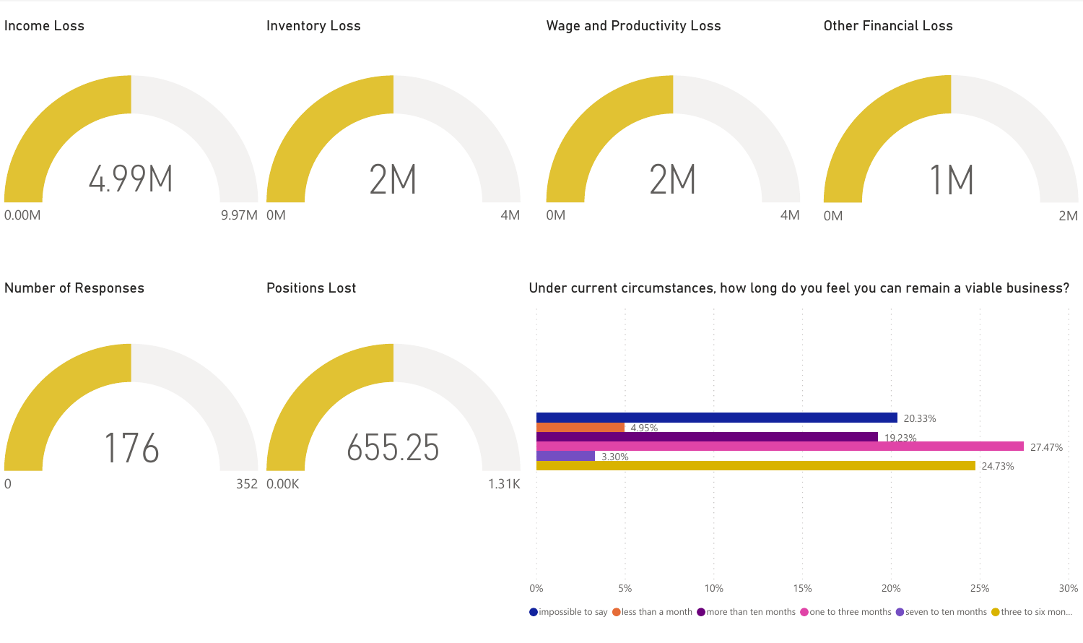

 $\bullet$  impossible to say  $\bullet$  less than a month  $\bullet$  more than ten months  $\bullet$  one to three months  $\bullet$  seven to ten months  $\bullet$  three to six mon...